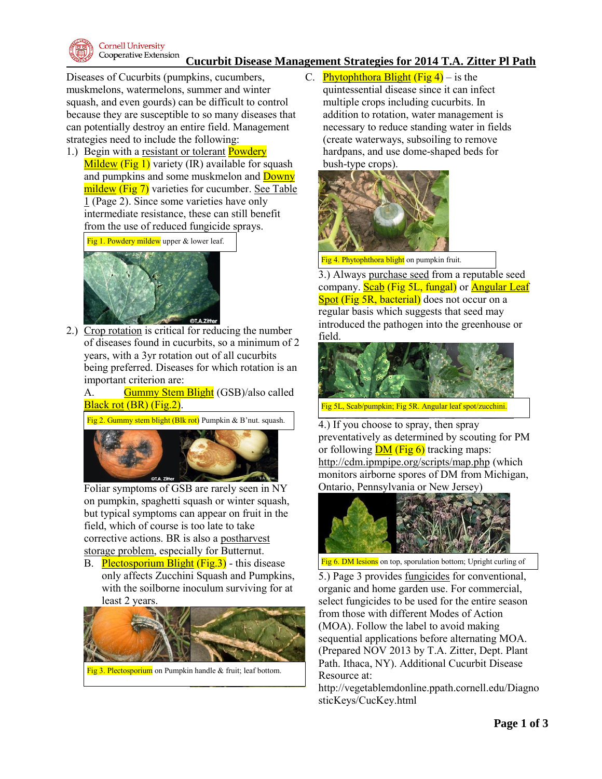

### **Cucurbit Disease Management Strategies for 2014 T.A. Zitter Pl Path**

Diseases of Cucurbits (pumpkins, cucumbers, muskmelons, watermelons, summer and winter squash, and even gourds) can be difficult to control because they are susceptible to so many diseases that can potentially destroy an entire field. Management strategies need to include the following:

1.) Begin with a resistant or tolerant **Powdery** Mildew (Fig 1) variety (IR) available for squash and pumpkins and some muskmelon and Downy mildew (Fig 7) varieties for cucumber. See Table 1 (Page 2). Since some varieties have only intermediate resistance, these can still benefit from the use of reduced fungicide sprays.

Fig 1. Powdery mildew upper & lower leaf.



2.) Crop rotation is critical for reducing the number of diseases found in cucurbits, so a minimum of 2 years, with a 3yr rotation out of all cucurbits being preferred. Diseases for which rotation is an important criterion are:

A. Gummy Stem Blight (GSB)/also called Black rot (BR) (Fig.2).

Fig 2. Gummy stem blight (Blk rot) Pumpkin & B'nut. squash.



Foliar symptoms of GSB are rarely seen in NY on pumpkin, spaghetti squash or winter squash, but typical symptoms can appear on fruit in the field, which of course is too late to take corrective actions. BR is also a postharvest storage problem, especially for Butternut.

B. Plectosporium Blight (Fig.3) - this disease only affects Zucchini Squash and Pumpkins, with the soilborne inoculum surviving for at least 2 years.



Fig 3. Plectosporium on Pumpkin handle & fruit; leaf bottom.

C. **Phytophthora Blight (Fig 4)** – is the quintessential disease since it can infect multiple crops including cucurbits. In addition to rotation, water management is necessary to reduce standing water in fields (create waterways, subsoiling to remove hardpans, and use dome-shaped beds for bush-type crops).



Fig 4. Phytophthora blight on pumpkin fruit.

3.) Always purchase seed from a reputable seed company. **Scab** (Fig 5L, fungal) or **Angular Leaf** Spot (Fig 5R, bacterial) does not occur on a regular basis which suggests that seed may introduced the pathogen into the greenhouse or field.



Fig 5L, Scab/pumpkin; Fig 5R. Angular leaf spot/zucchini.

4.) If you choose to spray, then spray preventatively as determined by scouting for PM or following  $DM$  (Fig 6) tracking maps: <http://cdm.ipmpipe.org/scripts/map.php> (which monitors airborne spores of DM from Michigan, Ontario, Pennsylvania or New Jersey)



Fig 6. DM lesions on top, sporulation bottom; Upright curling of

5.) Page 3 provides <u>fungicides</u> for conventional, organic and home garden use. For commercial, select fungicides to be used for the entire season from those with different Modes of Action (MOA). Follow the label to avoid making sequential applications before alternating MOA. (Prepared NOV 2013 by T.A. Zitter, Dept. Plant Path. Ithaca, NY). Additional Cucurbit Disease Resource at:

http://vegetablemdonline.ppath.cornell.edu/Diagno sticKeys/CucKey.html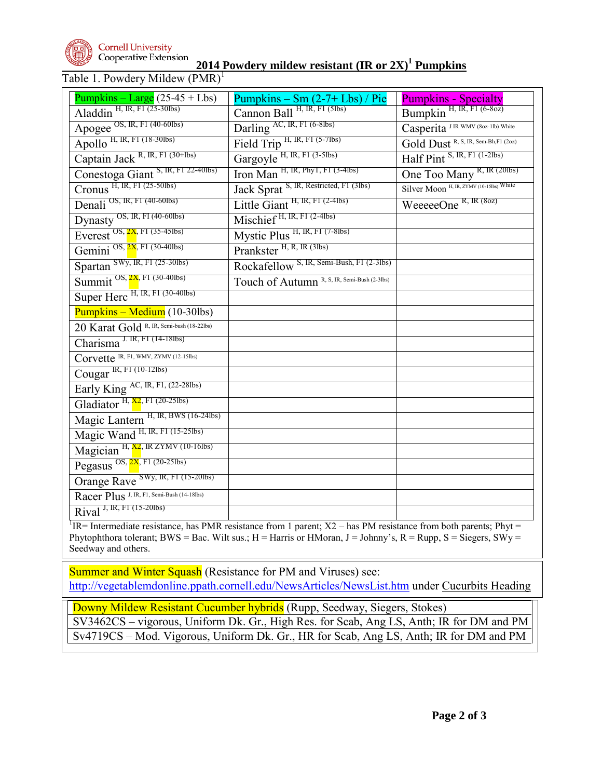

#### **Cornell University** Cooperative Extension

**2014 Powdery mildew resistant (IR or 2X)<sup>1</sup> Pumpkins**

## Table 1. Powdery Mildew  $(PMR)^{1}$

| $\frac{Pumpkins - Large}{(25-45 + Lbs)}$   | $Pumpkins - Sm (2-7+Lbs) / Pie$              | <b>Pumpkins - Specialty</b>              |
|--------------------------------------------|----------------------------------------------|------------------------------------------|
| Aladdin H, IR, FI (25-30lbs)               | Cannon Ball H, IR, FI (5lbs)                 | Bumpkin H, IR, FI (6-80z)                |
| Apogee OS, IR, F1 (40-60lbs)               | Darling AC, IR, F1 (6-8lbs)                  | Casperita JIR WMV (802-1lb) White        |
| Apollo H, IR, FI (18-301bs)                | Field Trip H, IR, F1 (5-71bs)                | Gold Dust R, S, IR, Sem-Bh, F1 (202)     |
| Captain Jack R, IR, FI (30+lbs)            | Gargoyle H, IR, FI (3-51bs)                  | Half Pint S, IR, FI (1-2lbs)             |
| Conestoga Giant S, IR, F1 22-40lbs)        | Iron Man H, IR, PhyT, F1 (3-4lbs)            | One Too Many R, IR (20lbs)               |
| Cronus H, IR, FI (25-50lbs)                | Jack Sprat S, IR, Restricted, F1 (3lbs)      | Silver Moon H, IR, ZYMV (10-15lbs) White |
| Denali OS, IR, F1 (40-60lbs)               | Little Giant H, IR, F1 (2-4lbs)              | WeeeeeOne <sup>R, IR (80z)</sup>         |
| Dynasty <sup>OS, IR, FI (40-60lbs)</sup>   | Mischief H, IR, F1 (2-4lbs)                  |                                          |
| $E\times$ erest OS, $2x$ , FI (35-451bs)   | Mystic Plus H, IR, FI (7-81bs)               |                                          |
| Gemini OS, 2X, F1 (30-40lbs)               | Prankster H, R, IR (3lbs)                    |                                          |
| Spartan SWy, IR, FI (25-30lbs)             | Rockafellow S, IR, Semi-Bush, F1 (2-31bs)    |                                          |
| Summit $OS$ , $2X$ , F1 (30-401bs)         | Touch of Autumn R, S, IR, Semi-Bush (2-3lbs) |                                          |
| Super Herc H, IR, F1 (30-401bs)            |                                              |                                          |
| $Pumpkins - Medium (10-30)$                |                                              |                                          |
| 20 Karat Gold R, IR, Semi-bush (18-22lbs)  |                                              |                                          |
| Charisma <sup>J. IR, FI (14-181bs)</sup>   |                                              |                                          |
| Corvette IR, F1, WMV, ZYMV (12-15lbs)      |                                              |                                          |
| Cougar IR, FI (10-12lbs)                   |                                              |                                          |
| Early King AC, IR, F1, (22-28Ibs)          |                                              |                                          |
| Gladiator H, $X_2$ , FI (20-251bs)         |                                              |                                          |
| Magic Lantern H, IR, BWS (16-24lbs)        |                                              |                                          |
| Magic Wand H, IR, FI (15-25lbs)            |                                              |                                          |
| Magician H, X2, IR ZYMV (10-16lbs)         |                                              |                                          |
| Pegasus OS, 2X, FI (20-251bs)              |                                              |                                          |
| Orange Rave SWy, IR, FI (15-201bs)         |                                              |                                          |
| Racer Plus J, IR, F1, Semi-Bush (14-18lbs) |                                              |                                          |
| Rival J, IR, F1 (15-201bs)                 |                                              |                                          |
| $\mathbf{r}$ $\mathbf{r}$                  | $\overline{r}$                               |                                          |

 ${}^{1}$  IR= Intermediate resistance, has PMR resistance from 1 parent; X2 – has PM resistance from both parents; Phyt = Phytophthora tolerant; BWS = Bac. Wilt sus.; H = Harris or HMoran, J = Johnny's, R = Rupp, S = Siegers, SWy = Seedway and others.

Summer and Winter Squash (Resistance for PM and Viruses) see: <http://vegetablemdonline.ppath.cornell.edu/NewsArticles/NewsList.htm> under Cucurbits Heading

Downy Mildew Resistant Cucumber hybrids (Rupp, Seedway, Siegers, Stokes) SV3462CS – vigorous, Uniform Dk. Gr., High Res. for Scab, Ang LS, Anth; IR for DM and PM Sv4719CS – Mod. Vigorous, Uniform Dk. Gr., HR for Scab, Ang LS, Anth; IR for DM and PM